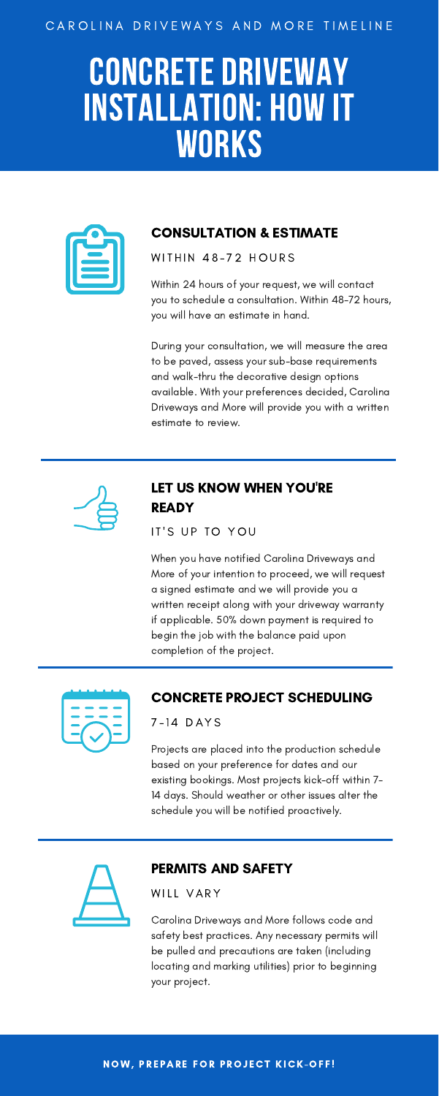Projects are placed into the production schedule based on your preference for dates and our existing bookings. Most projects kick-off within 7- 14 days. Should weather or other issues alter the schedule you will be notified proactively.



#### CAROLINA DRIVEWAYS AND MORE TIMELINE

# CONCRETE DRIVEWAY INSTALLATION: HOW IT **WORKS**



## CONCRETE PROJECT SCHEDULING

#### 7-14 DAYS

Within 24 hours of your request, we will contact you to schedule a consultation. Within 48-72 hours, you will have an estimate in hand.

## LET US KNOW WHEN YOU'RE **READY**

IT'S UP TO YOU

During your consultation, we will measure the area to be paved, assess your sub-base requirements and walk-thru the decorative design options available. With your preferences decided, Carolina Driveways and More will provide you with a written estimate to review.



## CONSULTATION & ESTIMATE

WITHIN 48-72 HOURS

When you have notified Carolina Driveways and More of your intention to proceed, we will request a signed estimate and we will provide you a written receipt along with your driveway warranty if applicable. 50% down payment is required to begin the job with the balance paid upon completion of the project.



Carolina Driveways and More follows code and safety best practices. Any necessary permits will be pulled and precautions are taken (including locating and marking utilities) prior to beginning your project.

#### NOW, PREPARE FOR PROJECT KICK-OFF!

## PERMITS AND SAFETY

WILL VARY